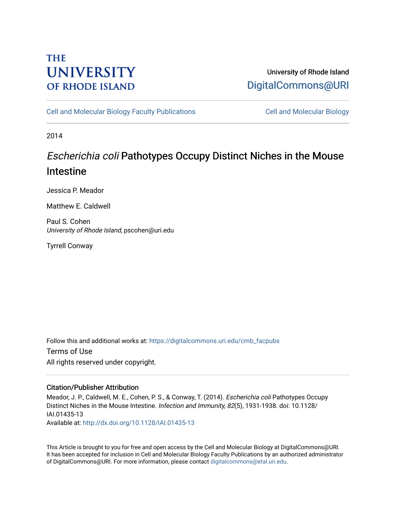# **THE UNIVERSITY OF RHODE ISLAND**

### University of Rhode Island [DigitalCommons@URI](https://digitalcommons.uri.edu/)

[Cell and Molecular Biology Faculty Publications](https://digitalcommons.uri.edu/cmb_facpubs) [Cell and Molecular Biology](https://digitalcommons.uri.edu/cmb) 

2014

# Escherichia coli Pathotypes Occupy Distinct Niches in the Mouse Intestine

Jessica P. Meador

Matthew E. Caldwell

Paul S. Cohen University of Rhode Island, pscohen@uri.edu

Tyrrell Conway

Follow this and additional works at: [https://digitalcommons.uri.edu/cmb\\_facpubs](https://digitalcommons.uri.edu/cmb_facpubs?utm_source=digitalcommons.uri.edu%2Fcmb_facpubs%2F89&utm_medium=PDF&utm_campaign=PDFCoverPages)  Terms of Use All rights reserved under copyright.

### Citation/Publisher Attribution

Meador, J. P., Caldwell, M. E., Cohen, P. S., & Conway, T. (2014). Escherichia coli Pathotypes Occupy Distinct Niches in the Mouse Intestine. Infection and Immunity, 82(5), 1931-1938. doi: 10.1128/ IAI.01435-13 Available at:<http://dx.doi.org/10.1128/IAI.01435-13>

This Article is brought to you for free and open access by the Cell and Molecular Biology at DigitalCommons@URI. It has been accepted for inclusion in Cell and Molecular Biology Faculty Publications by an authorized administrator of DigitalCommons@URI. For more information, please contact [digitalcommons@etal.uri.edu](mailto:digitalcommons@etal.uri.edu).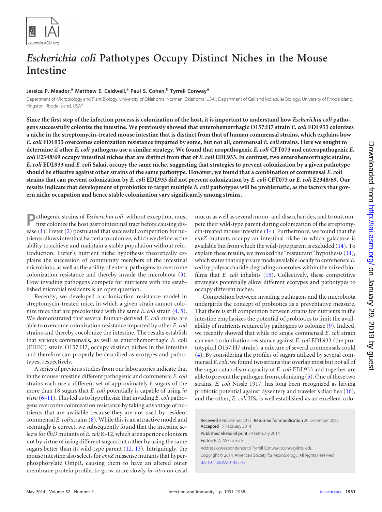

## *Escherichia coli* **Pathotypes Occupy Distinct Niches in the Mouse Intestine**

#### **Jessica P. Meador,<sup>a</sup> Matthew E. Caldwell,<sup>a</sup> Paul S. Cohen,<sup>b</sup> Tyrrell Conway<sup>a</sup>**

Department of Microbiology and Plant Biology, University of Oklahoma, Norman, Oklahoma, USA<sup>a</sup>; Department of Cell and Molecular Biology, University of Rhode Island, Kingston, Rhode Island, USAb

**Since the first step of the infection process is colonization of the host, it is important to understand how** *Escherichia coli* **pathogens successfully colonize the intestine. We previously showed that enterohemorrhagic O157:H7 strain** *E. coli* **EDL933 colonizes a niche in the streptomycin-treated mouse intestine that is distinct from that of human commensal strains, which explains how** *E. coli* **EDL933 overcomes colonization resistance imparted by some, but not all, commensal** *E. coli* **strains. Here we sought to determine if other** *E. coli* **pathogens use a similar strategy. We found that uropathogenic** *E. coli* **CFT073 and enteropathogenic** *E. coli* **E2348/69 occupy intestinal niches that are distinct from that of** *E. coli* **EDL933. In contrast, two enterohemorrhagic strains,** *E. coli* **EDL933 and** *E. coli* **Sakai, occupy the same niche, suggesting that strategies to prevent colonization by a given pathotype should be effective against other strains of the same pathotype. However, we found that a combination of commensal** *E. coli* **strains that can prevent colonization by** *E. coli* **EDL933 did not prevent colonization by** *E. coli* **CFT073 or** *E. coli* **E2348/69. Our results indicate that development of probiotics to target multiple** *E. coli* **pathotypes will be problematic, as the factors that govern niche occupation and hence stable colonization vary significantly among strains.**

**P**athogenic strains of *Escherichia coli*, without exception, must first colonize the host gastrointestinal tract before causing disease [\(1\)](#page-7-0). Freter [\(2\)](#page-7-1) postulated that successful competition for nutrients allows intestinal bacteria to colonize, which we define as the ability to achieve and maintain a stable population without reintroduction. Freter's nutrient niche hypothesis theoretically explains the succession of community members of the intestinal microbiota, as well as the ability of enteric pathogens to overcome colonization resistance and thereby invade the microbiota [\(3\)](#page-7-2). How invading pathogens compete for nutrients with the established microbial residents is an open question.

Recently, we developed a colonization resistance model in streptomycin-treated mice, in which a given strain cannot colonize mice that are precolonized with the same *E. coli* strain [\(4,](#page-7-3) [5\)](#page-7-4). We demonstrated that several human-derived *E. coli* strains are able to overcome colonization resistance imparted by other *E. coli* strains and thereby cocolonize the intestine. The results establish that various commensals, as well as enterohemorrhagic *E*. coli (EHEC) strain O157:H7, occupy distinct niches in the intestine and therefore can properly be described as ecotypes and pathotypes, respectively.

A series of previous studies from our laboratories indicate that in the mouse intestine different pathogenic and commensal *E. coli* strains each use a different set of approximately 6 sugars of the more than 18 sugars that *E. coli* potentially is capable of using *in vitro* [\(6](#page-7-5)[–](#page-7-6)[11\)](#page-7-7). This led us to hypothesize that invading *E.coli* pathogens overcome colonization resistance by taking advantage of nutrients that are available because they are not used by resident commensal *E. coli*strains [\(8\)](#page-7-8). While this is an attractive model and seemingly is correct, we subsequently found that the intestine selects for *flhD* mutants of *E. coli*K-12, which are superior colonizers not by virtue of using different sugars but rather by using the same sugars better than its wild-type parent [\(12,](#page-7-9) [13\)](#page-7-10). Intriguingly, the mouse intestine also selects for*envZ* missense mutants that hyperphosphorylate OmpR, causing them to have an altered outer membrane protein profile, to grow more slowly *in vitro* on cecal

mucus as well as several mono- and disaccharides, and to outcompete their wild-type parent during colonization of the streptomycin-treated mouse intestine [\(14\)](#page-7-11). Furthermore, we found that the *envZ* mutants occupy an intestinal niche in which galactose is available but from which the wild-type parent is excluded [\(14\)](#page-7-11). To explain these results, we invoked the "restaurant" hypothesis [\(14\)](#page-7-11), which states that sugars are made available locally to commensal *E. coli* by polysaccharide-degrading anaerobes within the mixed biofilms that *E. coli* inhabits [\(15\)](#page-7-12). Collectively, these competitive strategies potentially allow different ecotypes and pathotypes to occupy different niches.

Competition between invading pathogens and the microbiota undergirds the concept of probiotics as a preventative measure. That there is stiff competition between strains for nutrients in the intestine emphasizes the potential of probiotics to limit the availability of nutrients required by pathogens to colonize [\(9\)](#page-7-13). Indeed, we recently showed that while no single commensal *E. coli* strain can exert colonization resistance against *E. coli* EDL933 (the prototypical O157:H7 strain), a mixture of several commensals could [\(4\)](#page-7-3). By considering the profiles of sugars utilized by several commensal *E.coli*, we found two strains that overlap most but not all of the sugar catabolism capacity of *E. coli* EDL933 and together are able to prevent the pathogen from colonizing [\(5\)](#page-7-4). One of these two strains, *E. coli* Nissle 1917, has long been recognized as having probiotic potential against dysentery and traveler's diarrhea [\(16\)](#page-7-14), and the other, *E. coli* HS, is well established as an excellent colo-

Received 9 November 2013 Returned for modification 20 December 2013 Accepted 17 February 2014 Published ahead of print 24 February 2014 Editor: B. A. McCormick Address correspondence to Tyrrell Conway, tconway@ou.edu. Copyright © 2014, American Society for Microbiology. All Rights Reserved. [doi:10.1128/IAI.01435-13](http://dx.doi.org/10.1128/IAI.01435-13)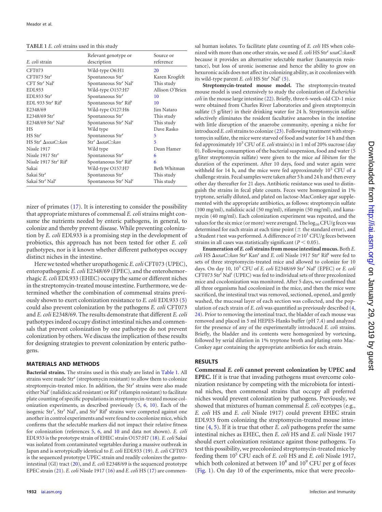<span id="page-2-0"></span>

| TABLE 1 E. coli strains used in this study |  |
|--------------------------------------------|--|
|--------------------------------------------|--|

| E. coli strain                                | Relevant genotype or<br>description           | Source or<br>reference |
|-----------------------------------------------|-----------------------------------------------|------------------------|
| CFT073                                        | Wild-type O6:H1                               | 20                     |
| $CFT073$ Str <sup>r</sup>                     | Spontaneous Str <sup>r</sup>                  | Karen Krogfelt         |
| CFT Str <sup>r</sup> Nal <sup>r</sup>         | Spontaneous Str <sup>r</sup> Nal <sup>r</sup> | This study             |
| <b>EDL933</b>                                 | Wild-type O157:H7                             | Allison O'Brien        |
| EDL933 Str <sup>r</sup>                       | Spontaneous Str <sup>r</sup>                  | 10                     |
| EDL 933 Str <sup>r</sup> Rif <sup>r</sup>     | Spontaneous Str <sup>r</sup> Rif <sup>r</sup> | 10                     |
| E2348/69                                      | Wild-type O127:H6                             | Jim Nataro             |
| $E2348/69$ Str <sup>r</sup>                   | Spontaneous Str <sup>r</sup>                  | This study             |
| E2348/69 Str <sup>r</sup> Nal <sup>r</sup>    | Spontaneous Str <sup>r</sup> Nal <sup>r</sup> | This study             |
| <b>HS</b>                                     | Wild type                                     | Dave Rasko             |
| HS Str <sup>r</sup>                           | Spontaneous Str <sup>r</sup>                  | 5                      |
| HS Str <sup>r</sup> AuxaC::kan                | $Str^r \Delta uxaC$ ::kan                     | 5                      |
| Nissle 1917                                   | Wild type                                     | Dean Hamer             |
| Nissle 1917 Str <sup>r</sup>                  | Spontaneous Str <sup>r</sup>                  | 6                      |
| Nissle 1917 Str <sup>r</sup> Rif <sup>r</sup> | Spontaneous Str <sup>r</sup> Rif <sup>r</sup> | 6                      |
| Sakai                                         | Wild-type O157:H7                             | Beth Whitman           |
| Sakai Str <sup>r</sup>                        | Spontaneous Str <sup>r</sup>                  | This study             |
| Sakai Str <sup>r</sup> Nal <sup>r</sup>       | Spontaneous Str <sup>r</sup> Nal <sup>r</sup> | This study             |

nizer of primates [\(17\)](#page-7-15). It is interesting to consider the possibility that appropriate mixtures of commensal *E. coli* strains might consume the nutrients needed by enteric pathogens, in general, to colonize and thereby prevent disease. While preventing colonization by *E. coli* EDL933 is a promising step in the development of probiotics, this approach has not been tested for other *E. coli* pathotypes, nor is it known whether different pathotypes occupy distinct niches in the intestine.

Here we tested whether uropathogenic *E. coli*CFT073 (UPEC), enteropathogenic *E. coli* E2348/69 (EPEC), and the enterohemorrhagic *E. coli* EDL933 (EHEC) occupy the same or different niches in the streptomycin-treated mouse intestine. Furthermore, we determined whether the combination of commensal strains previously shown to exert colonization resistance to *E. coli* EDL933 [\(5\)](#page-7-4) could also prevent colonization by the pathogens *E. coli* CFT073 and *E. coli* E2348/69. The results demonstrate that different *E. coli* pathotypes indeed occupy distinct intestinal niches and commensals that prevent colonization by one pathotype do not prevent colonization by others. We discuss the implication of these results for designing strategies to prevent colonization by enteric pathogens.

#### **MATERIALS AND METHODS**

**Bacterial strains.** The strains used in this study are listed in [Table 1.](#page-2-0) All strains were made Str<sup>r</sup> (streptomycin resistant) to allow them to colonize streptomycin-treated mice. In addition, the Str<sup>r</sup> strains were also made either Nal<sup>r</sup> (nalidixic acid resistant) or Rif<sup>r</sup> (rifampin resistant) to facilitate plate counting of specific populations in streptomycin-treated mouse colonization experiments, as described previously [\(5,](#page-7-4) [6,](#page-7-5) [10\)](#page-7-6). Each of the isogenic Str<sup>r</sup>, Str<sup>r</sup> Nal<sup>r</sup>, and Str<sup>r</sup> Rif<sup>r</sup> strains were competed against one another in control experiments and were found to cocolonize mice, which confirms that the selectable markers did not impact their relative fitness for colonization (references [5,](#page-7-4) [6,](#page-7-5) and [10](#page-7-6) and data not shown). *E. coli* EDL933 is the prototype strain of EHEC strain O157:H7 [\(18\)](#page-7-16). *E.coli* Sakai was isolated from contaminated vegetables during a massive outbreak in Japan and is serotypically identical to *E. coli* EDL933 [\(19\)](#page-7-17). *E. coli* CFT073 is the sequenced prototype UPEC strain and readily colonizes the gastrointestinal (GI) tract [\(20\)](#page-7-18), and *E. coli* E2348/69 is the sequenced prototype EPEC strain [\(21\)](#page-7-19). *E. coli* Nissle 1917 [\(16\)](#page-7-14) and *E. coli* HS [\(17\)](#page-7-15) are commensal human isolates. To facilitate plate counting of *E. coli* HS when colonized with more than one other strain, we used *E. coli* HS Strr *uxaC*::*kanR* because it provides an alternative selectable marker (kanamycin resistance), but loss of uronic isomerase and hence the ability to grow on hexuronic acids does not affect its colonizing ability, as it cocolonizes with its wild-type parent *E. coli* HS Str<sup>r</sup> Nal<sup>r</sup> [\(5\)](#page-7-4).

**Streptomycin-treated mouse model.** The streptomycin-treated mouse model is used extensively to study the colonization of *Escherichia coli* in the mouse large intestine [\(22\)](#page-7-20). Briefly, three 6-week-old CD-1 mice were obtained from Charles River Laboratories and given streptomycin sulfate (5 g/liter) in their drinking water for 24 h. Streptomycin sulfate selectively eliminates the resident facultative anaerobes in the intestine with little disruption of the anaerobe community, opening a niche for introduced *E. coli*strains to colonize [\(23\)](#page-7-21). Following treatment with streptomycin sulfate, the mice were starved of food and water for 14 h and then fed approximately  $10^5$  CFU of *E. coli* strain(s) in 1 ml of 20% sucrose (day 0). Following consumption of the bacterial suspension, food and water (5 g/liter streptomycin sulfate) were given to the mice *ad libitum* for the duration of the experiment. After 10 days, food and water again were withheld for 14 h, and the mice were fed approximately  $10^5$  CFU of a challenge strain. Fecal samples were taken after 5 h and 24 h and then every other day thereafter for 21 days. Antibiotic resistance was used to distinguish the strains in fecal plate counts. Feces were homogenized in 1% tryptone, serially diluted, and plated on lactose-MacConkey agar supplemented with the appropriate antibiotics, as follows: streptomycin sulfate (100 mg/ml), nalidixic acid (50 mg/ml), rifampin (50 mg/ml), and kanamycin (40 mg/ml). Each colonization experiment was repeated, and the values for the six mice (or more) were averaged. The  $log_{10}$  CFU/g feces was determined for each strain at each time point ( $\pm$  the standard error), and a Student *t* test was performed. A difference of  $\geq 10^{1}$  CFU/g feces between strains in all cases was statistically significant  $(P < 0.05)$ .

**Enumeration of** *E. coli***strains from mouse intestinal mucus.** Both *E. coli* HS *uxaC*::*kan* Str<sup>r</sup> Kanr and *E. coli* Nissle 1917 Strr Rifr were fed to sets of three streptomycin-treated mice and allowed to colonize for 10 days. On day 10, 10<sup>5</sup> CFU of *E. coli* E2348/69 Str<sup>r</sup> Nal<sup>r</sup> (EPEC) or *E. coli* CFT073 Str<sup>r</sup> Nal<sup>r</sup> (UPEC) was fed to individual sets of three precolonized mice and cocolonization was monitored. After 5 days, we confirmed that all three organisms had cocolonized in the mice, and then the mice were sacrificed, the intestinal tract was removed, sectioned, opened, and gently washed, the mucosal layer of each section was collected, and the population of each strain of *E. coli* was quantified as previously described [\(4,](#page-7-3) [24\)](#page-7-22). Prior to removing the intestinal tract, the bladder of each mouse was removed and placed in 5 ml HEPES-Hanks buffer (pH 7.4) and analyzed for the presence of any of the experimentally introduced *E. coli* strains. Briefly, the bladder and its contents were homogenized by vortexing, followed by serial dilution in 1% tryptone broth and plating onto Mac-Conkey agar containing the appropriate antibiotics for each strain.

#### **RESULTS**

**Commensal** *E. coli* **cannot prevent colonization by UPEC and EPEC.** If it is true that invading pathogens must overcome colonization resistance by competing with the microbiota for intestinal niches, then commensal strains that occupy all preferred niches would prevent colonization by pathogens. Previously, we showed that mixtures of human commensal *E. coli* ecotypes (e.g., *E. coli* HS and *E. coli* Nissle 1917) could prevent EHEC strain EDL933 from colonizing the streptomycin-treated mouse intestine [\(4,](#page-7-3) [5\)](#page-7-4). If it is true that other *E. coli* pathogens prefer the same intestinal niches as EHEC, then *E. coli* HS and *E. coli* Nissle 1917 should exert colonization resistance against those pathogens. To test this possibility, we precolonized streptomycin-treated mice by feeding them 10<sup>5</sup> CFU each of *E. coli* HS and *E. coli* Nissle 1917, which both colonized at between  $10^8$  and  $10^9$  CFU per g of feces [\(Fig. 1\)](#page-3-0). On day 10 of the experiments, mice that were precolo-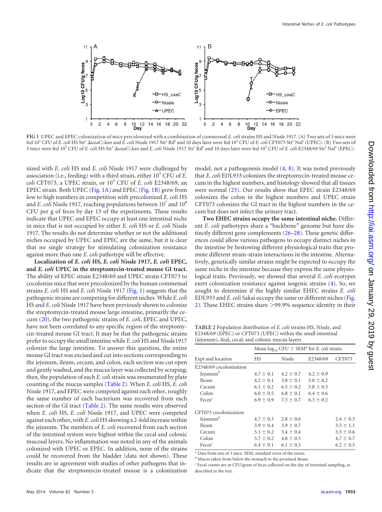

<span id="page-3-0"></span>**FIG 1** UPEC and EPEC colonization of mice precolonized with a combination of commensal *E. coli* strains HS and Nissle 1917. (A) Two sets of 3 mice were fed 10<sup>5</sup> CFU of *E. coli* HS Str<sup>r</sup>  $\Delta uxaC:$ :*kan* and *E. coli* Nissle 1917 Str<sup>r</sup> Rif<sup>r</sup> and 10 days later were fed 10<sup>5</sup> CFU of *E. coli* CFT073 Str<sup>r</sup> Nal<sup>r</sup> (UPEC). (B) Two sets of 3 mice were fed 105 CFU of *E. coli* HS Strr *uxaC*::*kan* and *E. coli* Nissle 1917 Strr Rifr and 10 days later were fed 105 CFU of *E. coli* E2348/69 Strr Nalr (EPEC).

nized with *E. coli* HS and *E. coli* Nissle 1917 were challenged by association (i.e., feeding) with a third strain, either  $10<sup>5</sup>$  CFU of *E*. *coli* CFT073, a UPEC strain, or  $10^5$  CFU of *E. coli* E2348/69, an EPEC strain. Both UPEC [\(Fig. 1A\)](#page-3-0) and EPEC [\(Fig. 1B\)](#page-3-0) grew from low to high numbers in competition with precolonized *E. coli* HS and *E. coli* Nissle 1917, reaching populations between 10<sup>7</sup> and 10<sup>8</sup> CFU per g of feces by day 13 of the experiments. These results indicate that UPEC and EPEC occupy at least one intestinal niche in mice that is not occupied by either *E. coli* HS or *E. coli* Nissle 1917. The results do not determine whether or not the additional niches occupied by UPEC and EPEC are the same, but it is clear that no single strategy for stimulating colonization resistance against more than one *E. coli* pathotype will be effective.

**Localization of** *E. coli* **HS,** *E. coli* **Nissle 1917,** *E. coli* **EPEC, and** *E. coli* **UPEC in the streptomycin-treated mouse GI tract.** The ability of EPEC strain E2348/69 and UPEC strain CFT073 to cocolonize mice that were precolonized by the human commensal strains *E. coli* HS and *E. coli* Nissle 1917 [\(Fig. 1\)](#page-3-0) suggests that the pathogenic strains are competing for different niches.While *E. coli* HS and *E. coli* Nissle 1917 have been previously shown to colonize the streptomycin-treated mouse large intestine, primarily the cecum [\(20\)](#page-7-18), the two pathogenic strains of *E. coli*, EPEC and UPEC, have not been correlated to any specific region of the streptomycin-treated mouse GI tract. It may be that the pathogenic strains prefer to occupy the small intestine while *E. coli*HS and Nissle1917 colonize the large intestine. To answer this question, the entire mouse GI tract was excised and cut into sections corresponding to the jejunum, ileum, cecum, and colon, each section was cut open and gently washed, and the mucus layer was collected by scraping; then, the population of each *E. coli* strain was enumerated by plate counting of the mucus samples [\(Table 2\)](#page-3-1). When *E. coli* HS, *E. coli* Nissle 1917, and EPEC were competed against each other, roughly the same number of each bacterium was recovered from each section of the GI tract [\(Table 2\)](#page-3-1). The same results were observed when *E. coli* HS, *E. coli* Nissle 1917, and UPEC were competed against each other, with *E. coli* HS showing a 2-fold increase within the jejunum. The numbers of *E. coli* recovered from each section of the intestinal system were highest within the cecal and colonic mucosal layers. No inflammation was noted in any of the animals colonized with UPEC or EPEC. In addition, none of the strains could be recovered from the bladder (data not shown). These results are in agreement with studies of other pathogens that indicate that the streptomycin-treated mouse is a colonization

model, not a pathogenesis model [\(4,](#page-7-3) [8\)](#page-7-8). It was noted previously that *E. coli* EDL933 colonizes the streptomycin-treated mouse cecum in the highest numbers, and histology showed that all tissues were normal [\(25\)](#page-7-23). Our results show that EPEC strain E2348/69 colonizes the colon in the highest numbers and UPEC strain CFT073 colonizes the GI tract in the highest numbers in the cecum but does not infect the urinary tract.

**Two EHEC strains occupy the same intestinal niche.** Different *E. coli* pathotypes share a "backbone" genome but have distinctly different gene complements [\(26](#page-7-24)[–](#page-7-25)[28\)](#page-7-26). These genetic differences could allow various pathogens to occupy distinct niches in the intestine by bestowing different physiological traits that promote different strain-strain interactions in the intestine. Alternatively, genetically similar strains might be expected to occupy the same niche in the intestine because they express the same physiological traits. Previously, we showed that several *E. coli* ecotypes exert colonization resistance against isogenic strains [\(4\)](#page-7-3). So, we sought to determine if the highly similar EHEC strains *E. coli* EDL933 and *E. coli* Sakai occupy the same or different niches [\(Fig.](#page-4-0) [2\)](#page-4-0). These EHEC strains share  $>$ 99.9% sequence identity in their

<span id="page-3-1"></span>**TABLE 2** Population distribution of *E. coli* strains HS, Nissle, and E2348/69 (EPEC) or CFT073 (UPEC) within the small intestinal (jejunum), ileal, cecal, and colonic mucus layers

|                         | Mean $\log_{10}$ CFU $\pm$ SEM <sup>a</sup> for <i>E. coli</i> strain: |                                           |                             |               |
|-------------------------|------------------------------------------------------------------------|-------------------------------------------|-----------------------------|---------------|
| Expt and location       | <b>HS</b>                                                              | Nissle                                    | E2348/69                    | CFT073        |
| E2348/69 cocolonization |                                                                        |                                           |                             |               |
| Jejunum $b$             | $4.7 \pm 0.1$                                                          | $4.2 \pm 0.7$                             | $4.2 \pm 0.9$               |               |
| <b>Ileum</b>            | $4.2 \pm 0.1$                                                          | $3.8 \pm 0.1$                             | $3.8 \pm 0.2$               |               |
| Cecum                   | $6.1 \pm 0.2$                                                          |                                           | $6.5 \pm 0.2$ $5.8 \pm 0.3$ |               |
| Colon                   |                                                                        | $6.0 \pm 0.5$ $6.8 \pm 0.1$ $6.4 \pm 0.6$ |                             |               |
| $Feces^c$               | $6.9 \pm 0.9$                                                          | $7.3 \pm 0.7$                             | $6.3 \pm 0.2$               |               |
| CFT073 cocolonization   |                                                                        |                                           |                             |               |
| Jeiumum <sup>b</sup>    | $4.7 \pm 0.3$                                                          | $2.8 \pm 0.6$                             |                             | $2.4 \pm 0.3$ |
| <b>Ileum</b>            | $3.9 \pm 0.4$                                                          | $3.9 \pm 0.7$                             |                             | $3.5 \pm 1.1$ |
| Cecum                   | $5.1 \pm 0.2$                                                          | $5.4 \pm 0.4$                             |                             | $5.5 \pm 0.6$ |
| Colon                   | $5.7 \pm 0.2$                                                          | $4.8 \pm 0.5$                             |                             | $4.7 \pm 0.7$ |
| $Feces^c$               |                                                                        | $6.4 \pm 0.1$ $6.1 \pm 0.3$               |                             | $6.2 \pm 0.5$ |

*<sup>a</sup>* Data from sets of 3 mice. SEM, standard error of the mean.

*<sup>b</sup>* Mucus taken from below the stomach to the proximal ileum.

*<sup>c</sup>* Fecal counts are in CFU/gram of feces collected on the day of intestinal sampling, as described in the text.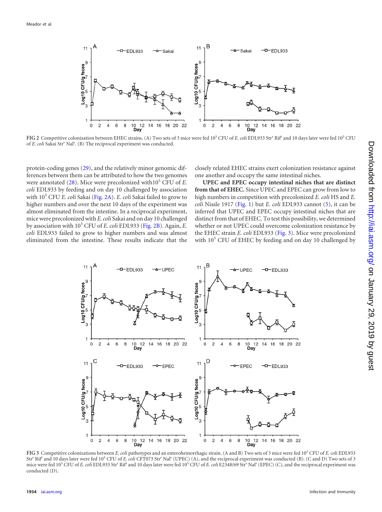

<span id="page-4-0"></span>FIG 2 Competitive colonization between EHEC strains. (A) Two sets of 3 mice were fed 10<sup>5</sup> CFU of *E. coli* EDL933 Str<sup>r</sup> Rif<sup>r</sup> and 10 days later were fed 10<sup>5</sup> CFU of *E. coli* Sakai Str<sup>r</sup> Nal<sup>r</sup>. (B) The reciprocal experiment was conducted.

protein-coding genes [\(29\)](#page-7-27), and the relatively minor genomic differences between them can be attributed to how the two genomes were annotated  $(28)$ . Mice were precolonized with  $10<sup>5</sup>$  CFU of *E*. *coli* EDL933 by feeding and on day 10 challenged by association with 10<sup>5</sup> CFU *E. coli* Sakai [\(Fig. 2A\)](#page-4-0). *E. coli* Sakai failed to grow to higher numbers and over the next 10 days of the experiment was almost eliminated from the intestine. In a reciprocal experiment, mice were precolonized with *E. coli* Sakai and on day 10 challenged by association with 10<sup>5</sup> CFU of *E. coli* EDL933 [\(Fig. 2B\)](#page-4-0). Again, *E. coli* EDL933 failed to grow to higher numbers and was almost eliminated from the intestine. These results indicate that the

closely related EHEC strains exert colonization resistance against one another and occupy the same intestinal niches.

**UPEC and EPEC occupy intestinal niches that are distinct from that of EHEC.** Since UPEC and EPEC can grow from low to high numbers in competition with precolonized *E. coli* HS and *E. coli* Nissle 1917 [\(Fig. 1\)](#page-3-0) but *E. coli* EDL933 cannot [\(5\)](#page-7-4), it can be inferred that UPEC and EPEC occupy intestinal niches that are distinct from that of EHEC. To test this possibility, we determined whether or not UPEC could overcome colonization resistance by the EHEC strain *E. coli* EDL933 [\(Fig. 3\)](#page-4-1). Mice were precolonized with  $10^5$  CFU of EHEC by feeding and on day 10 challenged by



<span id="page-4-1"></span>**FIG 3** Competitive colonizations between *E. coli* pathotypes and an enterohemorrhagic strain. (A and B) Two sets of 3 mice were fed 105 CFU of *E. coli* EDL933 Str<sup>r</sup> Rif<sup>r</sup> and 10 days later were fed 10<sup>5</sup> CFU of *E. coli* CFT073 Str<sup>r</sup> Nal<sup>r</sup> (UPEC) (A), and the reciprocal experiment was conducted (B). (C and D) Two sets of 3 mice were fed 10<sup>5</sup> CFU of *E. coli* EDL933 Str<sup>r</sup> Rif<sup>r</sup> and 10 days later were fed 10<sup>5</sup> CFU of *E. coli* E2348/69 Str<sup>r</sup> Nal<sup>r</sup> (EPEC) (C), and the reciprocal experiment was conducted (D).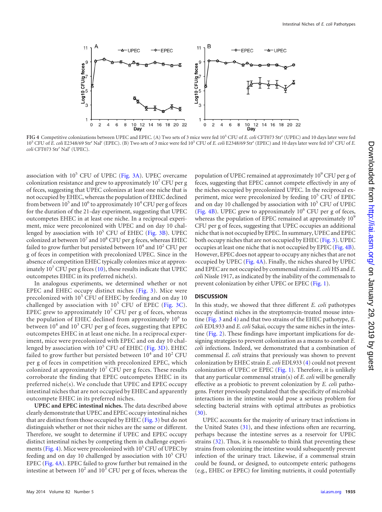

<span id="page-5-0"></span>**FIG 4** Competitive colonizations between UPEC and EPEC. (A) Two sets of 3 mice were fed 105 CFU of *E. coli* CFT073 Strr (UPEC) and 10 days later were fed 105 CFU of *E. coli* E2348/69 Str<sup>r</sup> Nalr (EPEC). (B) Two sets of 3 mice were fed 10<sup>5</sup> CFU of *E. coli* E2348/69 Str<sup>r</sup> (EPEC) and 10 days later were fed 10<sup>5</sup> CFU of *E. coli* CFT073 Strr Nalr (UPEC).

association with  $10<sup>5</sup>$  CFU of UPEC [\(Fig. 3A\)](#page-4-1). UPEC overcame colonization resistance and grew to approximately  $10<sup>7</sup>$  CFU per g of feces, suggesting that UPEC colonizes at least one niche that is not occupied by EHEC, whereas the population of EHEC declined from between  $10^5$  and  $10^6$  to approximately  $10^4$  CFU per g of feces for the duration of the 21-day experiment, suggesting that UPEC outcompetes EHEC in at least one niche. In a reciprocal experiment, mice were precolonized with UPEC and on day 10 challenged by association with  $10<sup>5</sup>$  CFU of EHEC [\(Fig. 3B\)](#page-4-1). UPEC colonized at between  $10^7$  and  $10^8$  CFU per g feces, whereas EHEC failed to grow further but persisted between  $10^4$  and  $10^2$  CFU per g of feces in competition with precolonized UPEC. Since in the absence of competition EHEC typically colonizes mice at approximately  $10<sup>7</sup>$  CFU per g feces [\(10\)](#page-7-6), these results indicate that UPEC outcompetes EHEC in its preferred niche(s).

In analogous experiments, we determined whether or not EPEC and EHEC occupy distinct niches [\(Fig. 3\)](#page-4-1). Mice were precolonized with  $10<sup>5</sup>$  CFU of EHEC by feeding and on day 10 challenged by association with  $10^5$  CFU of EPEC [\(Fig. 3C\)](#page-4-1). EPEC grew to approximately  $10<sup>7</sup>$  CFU per g of feces, whereas the population of EHEC declined from approximately  $10<sup>6</sup>$  to between  $10^4$  and  $10^3$  CFU per g of feces, suggesting that EPEC outcompetes EHEC in at least one niche. In a reciprocal experiment, mice were precolonized with EPEC and on day 10 challenged by association with  $10^5$  CFU of EHEC [\(Fig. 3D\)](#page-4-1). EHEC failed to grow further but persisted between  $10^4$  and  $10^2$  CFU per g of feces in competition with precolonized EPEC, which colonized at approximately  $10<sup>7</sup>$  CFU per g feces. These results corroborate the finding that EPEC outcompetes EHEC in its preferred niche(s). We conclude that UPEC and EPEC occupy intestinal niches that are not occupied by EHEC and apparently outcompete EHEC in its preferred niches.

**UPEC and EPEC intestinal niches.** The data described above clearly demonstrate that UPEC and EPEC occupy intestinal niches that are distinct from those occupied by EHEC [\(Fig. 3\)](#page-4-1) but do not distinguish whether or not their niches are the same or different. Therefore, we sought to determine if UPEC and EPEC occupy distinct intestinal niches by competing them in challenge experi-ments [\(Fig. 4\)](#page-5-0). Mice were precolonized with  $10^5$  CFU of UPEC by feeding and on day 10 challenged by association with  $10^5$  CFU EPEC [\(Fig. 4A\)](#page-5-0). EPEC failed to grow further but remained in the intestine at between  $10^2$  and  $10^3$  CFU per g of feces, whereas the

population of UPEC remained at approximately 10<sup>9</sup> CFU per g of feces, suggesting that EPEC cannot compete effectively in any of the niches occupied by precolonized UPEC. In the reciprocal experiment, mice were precolonized by feeding  $10<sup>5</sup>$  CFU of EPEC and on day 10 challenged by association with  $10<sup>5</sup>$  CFU of UPEC [\(Fig. 4B\)](#page-5-0). UPEC grew to approximately  $10^6$  CFU per g of feces, whereas the population of EPEC remained at approximately  $10<sup>9</sup>$ CFU per g of feces, suggesting that UPEC occupies an additional niche that is not occupied by EPEC. In summary, UPEC and EPEC both occupy niches that are not occupied by EHEC [\(Fig. 3\)](#page-4-1). UPEC occupies at least one niche that is not occupied by EPEC [\(Fig. 4B\)](#page-5-0). However, EPEC does not appear to occupy any niches that are not occupied by UPEC [\(Fig. 4A\)](#page-5-0). Finally, the niches shared by UPEC and EPEC are not occupied by commensal strains *E. coli* HS and *E. coli* Nissle 1917, as indicated by the inability of the commensals to prevent colonization by either UPEC or EPEC [\(Fig. 1\)](#page-3-0).

#### **DISCUSSION**

In this study, we showed that three different *E. coli* pathotypes occupy distinct niches in the streptomycin-treated mouse intestine [\(Fig. 3](#page-4-1) and [4\)](#page-5-0) and that two strains of the EHEC pathotype, *E. coli* EDL933 and *E. coli* Sakai, occupy the same niches in the intestine [\(Fig. 2\)](#page-4-0). These findings have important implications for designing strategies to prevent colonization as a means to combat *E. coli* infections. Indeed, we demonstrated that a combination of commensal *E. coli* strains that previously was shown to prevent colonization by EHEC strain *E. coli* EDL933 [\(4\)](#page-7-3) could not prevent colonization of UPEC or EPEC [\(Fig. 1\)](#page-3-0). Therefore, it is unlikely that any particular commensal strain(s) of *E. coli* will be generally effective as a probiotic to prevent colonization by *E. coli* pathogens. Freter previously postulated that the specificity of microbial interactions in the intestine would pose a serious problem for selecting bacterial strains with optimal attributes as probiotics  $(30).$  $(30).$ 

UPEC accounts for the majority of urinary tract infections in the United States [\(31\)](#page-7-29), and these infections often are recurring, perhaps because the intestine serves as a reservoir for UPEC strains [\(32\)](#page-7-30). Thus, it is reasonable to think that preventing these strains from colonizing the intestine would subsequently prevent infection of the urinary tract. Likewise, if a commensal strain could be found, or designed, to outcompete enteric pathogens (e.g., EHEC or EPEC) for limiting nutrients, it could potentially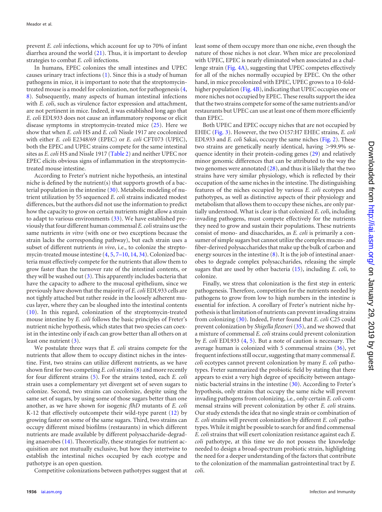prevent *E. coli* infections, which account for up to 70% of infant diarrhea around the world [\(21\)](#page-7-19). Thus, it is important to develop strategies to combat *E. coli* infections.

In humans, EPEC colonizes the small intestines and UPEC causes urinary tract infections [\(1\)](#page-7-0). Since this is a study of human pathogens in mice, it is important to note that the streptomycintreated mouse is a model for colonization, not for pathogenesis [\(4,](#page-7-3) [8\)](#page-7-8). Subsequently, many aspects of human intestinal infections with *E. coli*, such as virulence factor expression and attachment, are not pertinent in mice. Indeed, it was established long ago that *E. coli* EDL933 does not cause an inflammatory response or elicit disease symptoms in streptomycin-treated mice [\(25\)](#page-7-23). Here we show that when *E. coli* HS and *E. coli* Nissle 1917 are cocolonized with either *E. coli* E2348/69 (EPEC) or *E. coli* CFT073 (UPEC), both the EPEC and UPEC strains compete for the same intestinal sites as *E. coli* HS and Nissle 1917 [\(Table 2\)](#page-3-1) and neither UPEC nor EPEC elicits obvious signs of inflammation in the streptomycintreated mouse intestine.

According to Freter's nutrient niche hypothesis, an intestinal niche is defined by the nutrient(s) that supports growth of a bacterial population in the intestine [\(30\)](#page-7-28). Metabolic modeling of nutrient utilization by 55 sequenced *E. coli* strains indicated modest differences, but the authors did not use the information to predict how the capacity to grow on certain nutrients might allow a strain to adapt to various environments [\(33\)](#page-7-31). We have established previously that four different human commensal *E. coli*strains use the same nutrients *in vitro* (with one or two exceptions because the strain lacks the corresponding pathway), but each strain uses a subset of different nutrients *in vivo*, i.e., to colonize the streptomycin-treated mouse intestine [\(4,](#page-7-3) [5,](#page-7-4) [7](#page-7-32)[–](#page-7-13)[10,](#page-7-6) [14,](#page-7-11) [34\)](#page-8-0). Colonized bacteria must effectively compete for the nutrients that allow them to grow faster than the turnover rate of the intestinal contents, or they will be washed out [\(3\)](#page-7-2). This apparently includes bacteria that have the capacity to adhere to the mucosal epithelium, since we previously have shown that the majority of *E. coli* EDL933 cells are not tightly attached but rather reside in the loosely adherent mucus layer, where they can be sloughed into the intestinal contents [\(10\)](#page-7-6). In this regard, colonization of the streptomycin-treated mouse intestine by *E. coli* follows the basic principles of Freter's nutrient niche hypothesis, which states that two species can coexist in the intestine only if each can grow better than all others on at least one nutrient [\(3\)](#page-7-2).

We postulate three ways that *E. coli* strains compete for the nutrients that allow them to occupy distinct niches in the intestine. First, two strains can utilize different nutrients, as we have shown first for two competing *E. coli*strains [\(8\)](#page-7-8) and more recently for four different strains [\(5\)](#page-7-4). For the strains tested, each *E. coli* strain uses a complementary yet divergent set of seven sugars to colonize. Second, two strains can cocolonize, despite using the same set of sugars, by using some of those sugars better than one another, as we have shown for isogenic *flhD* mutants of *E. coli* K-12 that effectively outcompete their wild-type parent [\(12\)](#page-7-9) by growing faster on some of the same sugars. Third, two strains can occupy different mixed biofilms (restaurants) in which different nutrients are made available by different polysaccharide-degrading anaerobes [\(14\)](#page-7-11). Theoretically, these strategies for nutrient acquisition are not mutually exclusive, but how they intertwine to establish the intestinal niches occupied by each ecotype and pathotype is an open question.

Competitive colonizations between pathotypes suggest that at

least some of them occupy more than one niche, even though the nature of those niches is not clear. When mice are precolonized with UPEC, EPEC is nearly eliminated when associated as a challenge strain [\(Fig. 4A\)](#page-5-0), suggesting that UPEC competes effectively for all of the niches normally occupied by EPEC. On the other hand, in mice precolonized with EPEC, UPEC grows to a 10-fold-higher population [\(Fig. 4B\)](#page-5-0), indicating that UPEC occupies one or more niches not occupied by EPEC. These results support the idea that the two strains compete for some of the same nutrients and/or restaurants but UPEC can use at least one of them more efficiently than EPEC.

Both UPEC and EPEC occupy niches that are not occupied by EHEC [\(Fig. 3\)](#page-4-1). However, the two O157:H7 EHEC strains, *E. coli* EDL933 and *E. coli* Sakai, occupy the same niches [\(Fig. 2\)](#page-4-0). These two strains are genetically nearly identical, having >99.9% sequence identity in their protein-coding genes [\(29\)](#page-7-27) and relatively minor genomic differences that can be attributed to the way the two genomes were annotated  $(28)$ , and thus it is likely that the two strains have very similar physiology, which is reflected by their occupation of the same niches in the intestine. The distinguishing features of the niches occupied by various *E. coli* ecotypes and pathotypes, as well as distinctive aspects of their physiology and metabolism that allows them to occupy these niches, are only partially understood. What is clear is that colonized *E. coli*, including invading pathogens, must compete effectively for the nutrients they need to grow and sustain their populations. These nutrients consist of mono- and disaccharides, as *E. coli* is primarily a consumer of simple sugars but cannot utilize the complex mucus- and fiber-derived polysaccharides that make up the bulk of carbon and energy sources in the intestine  $(8)$ . It is the job of intestinal anaerobes to degrade complex polysaccharides, releasing the simple sugars that are used by other bacteria [\(15\)](#page-7-12), including *E. coli*, to colonize.

Finally, we stress that colonization is the first step in enteric pathogenesis. Therefore, competition for the nutrients needed by pathogens to grow from low to high numbers in the intestine is essential for infection. A corollary of Freter's nutrient niche hypothesis is that limitation of nutrients can prevent invading strains from colonizing [\(30\)](#page-7-28). Indeed, Freter found that *E. coli* C25 could prevent colonization by *Shigella flexneri* [\(35\)](#page-8-1), and we showed that a mixture of commensal *E. coli* strains could prevent colonization by *E. coli* EDL933 [\(4,](#page-7-3) [5\)](#page-7-4). But a note of caution is necessary. The average human is colonized with 5 commensal strains [\(36\)](#page-8-2), yet frequent infections still occur, suggesting that many commensal *E. coli* ecotypes cannot prevent colonization by many *E. coli* pathotypes. Freter summarized the probiotic field by stating that there appears to exist a very high degree of specificity between antagonistic bacterial strains in the intestine [\(30\)](#page-7-28). According to Freter's hypothesis, only strains that occupy the same niche will prevent invading pathogens from colonizing, i.e., only certain *E. coli* commensal strains will prevent colonization by other *E. coli* strains. Our study extends the idea that no single strain or combination of *E. coli* strains will prevent colonization by different *E. coli* pathotypes. While it might be possible to search for and find commensal *E. coli* strains that will exert colonization resistance against each *E. coli* pathotype, at this time we do not possess the knowledge needed to design a broad-spectrum probiotic strain, highlighting the need for a deeper understanding of the factors that contribute to the colonization of the mammalian gastrointestinal tract by *E. coli*.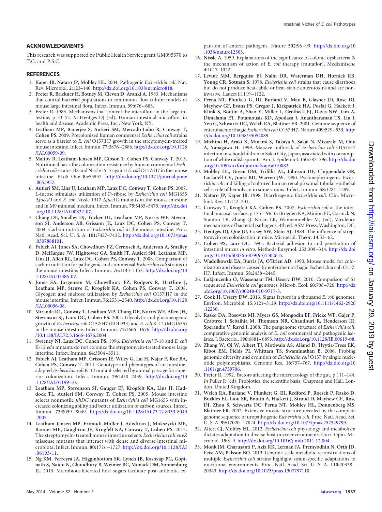#### **ACKNOWLEDGMENTS**

This research was supported by Public Health Service grant GM095370 to T.C. and P.S.C.

#### <span id="page-7-0"></span>**REFERENCES**

- <span id="page-7-1"></span>1. **Kaper JB, Nataro JP, Mobley HL.** 2004. Pathogenic *Escherichia coli*. Nat. Rev. Microbiol. **2:**123–140. [http://dx.doi.org/10.1038/nrmicro818.](http://dx.doi.org/10.1038/nrmicro818)
- 2. **Freter R, Brickner H, Botney M, Cleven D, Aranki A.** 1983. Mechanisms that control bacterial populations in continuous-flow culture models of mouse large intestinal flora. Infect. Immun. **39:**676 –685.
- <span id="page-7-2"></span>3. **Freter R.** 1983. Mechanisms that control the microflora in the large intestine, p 33–54. *In* Hentges DJ (ed), Human intestinal microflora in health and disease. Academic Press, Inc., New York, NY.
- <span id="page-7-3"></span>4. **Leatham MP, Banerjee S, Autieri SM, Mercado-Lubo R, Conway T, Cohen PS.** 2009. Precolonized human commensal *Escherichia coli* strains serve as a barrier to *E. coli* O157:H7 growth in the streptomycin-treated mouse intestine. Infect. Immun. **77:**2876 –2886. [http://dx.doi.org/10.1128](http://dx.doi.org/10.1128/IAI.00059-09) [/IAI.00059-09.](http://dx.doi.org/10.1128/IAI.00059-09)
- <span id="page-7-4"></span>5. **Maltby R, Leatham-Jensen MP, Gibson T, Cohen PS, Conway T.** 2013. Nutritional basis for colonization resistance by human commensal *Escherichia coli*strains HS and Nissle 1917 against *E. coli* O157:H7 in the mouse intestine. PLoS One **8:**e53957. [http://dx.doi.org/10.1371/journal.pone](http://dx.doi.org/10.1371/journal.pone.0053957) [.0053957.](http://dx.doi.org/10.1371/journal.pone.0053957)
- <span id="page-7-5"></span>6. **Autieri SM, Lins JJ, Leatham MP, Laux DC, Conway T, Cohen PS.** 2007. L-fucose stimulates utilization of D-ribose by *Escherichia coli* MG1655 *fucAO* and *E. coli* Nissle 1917 *fucAO* mutants in the mouse intestine and in M9 minimal medium. Infect. Immun. **75:**5465–5475. [http://dx.doi](http://dx.doi.org/10.1128/IAI.00822-07) [.org/10.1128/IAI.00822-07.](http://dx.doi.org/10.1128/IAI.00822-07)
- <span id="page-7-32"></span>7. **Chang DE, Smalley DJ, Tucker DL, Leatham MP, Norris WE, Stevenson SJ, Anderson AB, Grissom JE, Laux DC, Cohen PS, Conway T.** 2004. Carbon nutrition of *Escherichia coli* in the mouse intestine. Proc. Natl. Acad. Sci. U. S. A. **101:**7427–7432. [http://dx.doi.org/10.1073/pnas](http://dx.doi.org/10.1073/pnas.0307888101) [.0307888101.](http://dx.doi.org/10.1073/pnas.0307888101)
- <span id="page-7-8"></span>8. **Fabich AJ, Jones SA, Chowdhury FZ, Cernosek A, Anderson A, Smalley D, McHargue JW, Hightower GA, Smith JT, Autieri SM, Leatham MP, Lins JJ, Allen RL, Laux DC, Cohen PS, Conway T.** 2008. Comparison of carbon nutrition for pathogenic and commensal *Escherichia coli* strains in the mouse intestine. Infect. Immun. **76:**1143–1152. [http://dx.doi.org/10](http://dx.doi.org/10.1128/IAI.01386-07) [.1128/IAI.01386-07.](http://dx.doi.org/10.1128/IAI.01386-07)
- <span id="page-7-13"></span>9. **Jones SA, Jorgensen M, Chowdhury FZ, Rodgers R, Hartline J, Leatham MP, Struve C, Krogfelt KA, Cohen PS, Conway T.** 2008. Glycogen and maltose utilization by *Escherichia coli* O157:H7 in the mouse intestine. Infect. Immun. **76:**2531–2540. [http://dx.doi.org/10.1128](http://dx.doi.org/10.1128/IAI.00096-08) [/IAI.00096-08.](http://dx.doi.org/10.1128/IAI.00096-08)
- <span id="page-7-6"></span>10. **Miranda RL, Conway T, Leatham MP, Chang DE, Norris WE, Allen JH, Stevenson SJ, Laux DC, Cohen PS.** 2004. Glycolytic and gluconeogenic growth of *Escherichia coli* O157:H7 (EDL933) and *E. coli* K-12 (MG1655) in the mouse intestine. Infect. Immun. **72:**1666 –1676. [http://dx.doi.org](http://dx.doi.org/10.1128/IAI.72.3.1666-1676.2004) [/10.1128/IAI.72.3.1666-1676.2004.](http://dx.doi.org/10.1128/IAI.72.3.1666-1676.2004)
- <span id="page-7-9"></span><span id="page-7-7"></span>11. **Sweeney NJ, Laux DC, Cohen PS.** 1996. *Escherichia coli* F-18 and *E. coli* K-12 *eda* mutants do not colonize the streptomycin-treated mouse large intestine. Infect. Immun. **64:**3504 –3511.
- 12. **Fabich AJ, Leatham MP, Grissom JE, Wiley G, Lai H, Najar F, Roe BA, Cohen PS, Conway T.** 2011. Genotype and phenotypes of an intestineadapted *Escherichia coli* K-12 mutant selected by animal passage for superior colonization. Infect. Immun. **79:**2430 –2439. [http://dx.doi.org/10](http://dx.doi.org/10.1128/IAI.01199-10) [.1128/IAI.01199-10.](http://dx.doi.org/10.1128/IAI.01199-10)
- <span id="page-7-10"></span>13. **Leatham MP, Stevenson SJ, Gauger EJ, Krogfelt KA, Lins JJ, Haddock TL, Autieri SM, Conway T, Cohen PS.** 2005. Mouse intestine selects nonmotile *flhDC* mutants of *Escherichia coli* MG1655 with increased colonizing ability and better utilization of carbon sources. Infect. Immun. **73:**8039 –8049. [http://dx.doi.org/10.1128/IAI.73.12.8039-8049](http://dx.doi.org/10.1128/IAI.73.12.8039-8049.2005) [.2005.](http://dx.doi.org/10.1128/IAI.73.12.8039-8049.2005)
- <span id="page-7-11"></span>14. **Leatham-Jensen MP, Frimodt-Moller J, Adediran J, Mokszycki ME, Banner ME, Caughron JE, Krogfelt KA, Conway T, Cohen PS.** 2012. The streptomycin-treated mouse intestine selects *Escherichia coli envZ* missense mutants that interact with dense and diverse intestinal microbiota. Infect. Immun. **80:**1716 –1727. [http://dx.doi.org/10.1128/IAI](http://dx.doi.org/10.1128/IAI.06193-11) [.06193-11.](http://dx.doi.org/10.1128/IAI.06193-11)
- <span id="page-7-12"></span>15. **Ng KM, Ferreyra JA, Higginbottom SK, Lynch JB, Kashyap PC, Gopinath S, Naidu N, Choudhury B, Weimer BC, Monack DM, Sonnenburg JL.** 2013. Microbiota-liberated host sugars facilitate post-antibiotic ex-

pansion of enteric pathogens. Nature **502:**96 –99. [http://dx.doi.org/10](http://dx.doi.org/10.1038/nature12503) [.1038/nature12503.](http://dx.doi.org/10.1038/nature12503)

- <span id="page-7-14"></span>16. **Nissle A.** 1959. Explanations of the significance of colonic dysbacteria & the mechanism of action of *E. coli* therapy (mutaflor). Medizinische **4:**1017–1022.
- <span id="page-7-15"></span>17. **Levine MM, Bergquist EJ, Nalin DR, Waterman DH, Hornick RB, Young CR, Sotman S.** 1978. *Escherichia coli* strains that cause diarrhoea but do not produce heat-labile or heat-stable enterotoxins and are noninvasive. Lancet **i:**1119 –1122.
- <span id="page-7-16"></span>18. **Perna NT, Plunkett G, III, Burland V, Mau B, Glasner JD, Rose DJ, Mayhew GF, Evans PS, Gregor J, Kirkpatrick HA, Posfai G, Hackett J, Klink S, Boutin A, Shao Y, Miller L, Grotbeck EJ, Davis NW, Lim A, Dimalanta ET, Potamousis KD, Apodaca J, Anantharaman TS, Lin J, Yen G, Schwartz DC, Welch RA, Blattner FR.** 2001. Genome sequence of enterohaemorrhagic *Escherichia coli* O157:H7. Nature **409:**529 –533. [http:](http://dx.doi.org/10.1038/35054089) [//dx.doi.org/10.1038/35054089.](http://dx.doi.org/10.1038/35054089)
- <span id="page-7-17"></span>19. **Michino H, Araki K, Minami S, Takaya S, Sakai N, Miyazaki M, Ono A, Yanagawa H.** 1999. Massive outbreak of *Escherichia coli* O157:H7 infection in schoolchildren in Sakai City, Japan, associated with consumption of white radish sprouts. Am. J. Epidemiol. **150:**787–796. [http://dx.doi](http://dx.doi.org/10.1093/oxfordjournals.aje.a010082) [.org/10.1093/oxfordjournals.aje.a010082.](http://dx.doi.org/10.1093/oxfordjournals.aje.a010082)
- <span id="page-7-18"></span>20. **Mobley HL, Green DM, Trifillis AL, Johnson DE, Chippendale GR, Lockatell CV, Jones BD, Warren JW.** 1990. Pyelonephritogenic *Escherichia coli* and killing of cultured human renal proximal tubular epithelial cells: role of hemolysin in some strains. Infect. Immun. **58:**1281–1289.
- <span id="page-7-20"></span><span id="page-7-19"></span>21. **Nataro JP, Kaper JB.** 1998. Diarrheagenic *Escherichia coli*. Clin. Microbiol. Rev. **11:**142–201.
- 22. **Conway T, Krogfelt KA, Cohen PS.** 2007. *Escherichia coli* at the intestinal mucosal surface, p 175–196. *In* Brogden KA, Minion FC, Cornick N, Stanton TB, Zhang Q, Nolan LK, Wannemuehler MJ (ed), Virulence mechanisms of bacterial pathogens, 4th ed. ASM Press, Washington, DC.
- <span id="page-7-22"></span><span id="page-7-21"></span>23. **Hentges DJ, Que JU, Casey SW, Stein AJ.** 1984. The influence of streptomycin on colonization in mice. Microecol. Theor. **14:**53–62.
- 24. **Cohen PS, Laux DC.** 1995. Bacterial adhesion to and penetration of intestinal mucus *in vitro*. Methods Enzymol. **253:**309 –314. [http://dx.doi](http://dx.doi.org/10.1016/S0076-6879(95)53026-6) [.org/10.1016/S0076-6879\(95\)53026-6.](http://dx.doi.org/10.1016/S0076-6879(95)53026-6)
- <span id="page-7-23"></span>25. **Wadolkowski EA, Burris JA, O'Brien AD.** 1990. Mouse model for colonization and disease caused by enterohemorrhagic Escherichia coli O157: H7. Infect. Immun. **58:**2438 –2445.
- <span id="page-7-24"></span>26. **Lukjancenko O, Wassenaar TM, Ussery DW.** 2010. Comparison of 61 sequenced *Escherichia coli* genomes. Microb. Ecol. **60:**708 –720. [http://dx](http://dx.doi.org/10.1007/s00248-010-9717-3) [.doi.org/10.1007/s00248-010-9717-3.](http://dx.doi.org/10.1007/s00248-010-9717-3)
- <span id="page-7-25"></span>27. **Cook H, Ussery DW.** 2013. Sigma factors in a thousand *E. coli* genomes. Environ. Microbiol. **15:**3121–3129. [http://dx.doi.org/10.1111/1462-2920](http://dx.doi.org/10.1111/1462-2920.12236) [.12236.](http://dx.doi.org/10.1111/1462-2920.12236)
- <span id="page-7-26"></span>28. **Rasko DA, Rosovitz MJ, Myers GS, Mongodin EF, Fricke WF, Gajer P, Crabtree J, Sebaihia M, Thomson NR, Chaudhuri R, Henderson IR, Sperandio V, Ravel J.** 2008. The pangenome structure of *Escherichia coli*: comparative genomic analysis of *E. coli* commensal and pathogenic isolates. J. Bacteriol. **190:**6881–6893. [http://dx.doi.org/10.1128/JB.00619-08.](http://dx.doi.org/10.1128/JB.00619-08)
- <span id="page-7-27"></span>29. **Zhang W, Qi W, Albert TJ, Motiwala AS, Alland D, Hyytia-Trees EK, Ribot EM, Fields PI, Whittam TS, Swaminathan B.** 2006. Probing genomic diversity and evolution of *Escherichia coli* O157 by single nucleotide polymorphisms. Genome Res. **16:**757–767. [http://dx.doi.org/10](http://dx.doi.org/10.1101/gr.4759706) [.1101/gr.4759706.](http://dx.doi.org/10.1101/gr.4759706)
- <span id="page-7-29"></span><span id="page-7-28"></span>30. **Freter R.** 1992. Factors affecting the microecology of the gut, p 111–144. *In* Fuller R (ed), Probiotics, the scientific basis. Chapman and Hall, London, United Kingdom.
- 31. **Welch RA, Burland V, Plunkett G, III, Redford P, Roesch P, Rasko D, Buckles EL, Liou SR, Boutin A, Hackett J, Stroud D, Mayhew GF, Rose DJ, Zhou S, Schwartz DC, Perna NT, Mobley HL, Donnenberg MS, Blattner FR.** 2002. Extensive mosaic structure revealed by the complete genome sequence of uropathogenic *Escherichia coli*. Proc. Natl. Acad. Sci. U. S. A. **99:**17020 –17024. [http://dx.doi.org/10.1073/pnas.252529799.](http://dx.doi.org/10.1073/pnas.252529799)
- <span id="page-7-31"></span><span id="page-7-30"></span>32. **Alteri CJ, Mobley HL.** 2012. *Escherichia coli* physiology and metabolism dictates adaptation to diverse host microenvironments. Curr. Opin. Microbiol. **15:**3–9. [http://dx.doi.org/10.1016/j.mib.2011.12.004.](http://dx.doi.org/10.1016/j.mib.2011.12.004)
- 33. **Monk JM, Charusanti P, Aziz RK, Lerman JA, Premyodhin N, Orth JD, Feist AM, Palsson BO.** 2013. Genome-scale metabolic reconstructions of multiple *Escherichia coli* strains highlight strain-specific adaptations to nutritional environments. Proc. Natl. Acad. Sci. U. S. A. **110:**20338 – 20343. [http://dx.doi.org/10.1073/pnas.1307797110.](http://dx.doi.org/10.1073/pnas.1307797110)